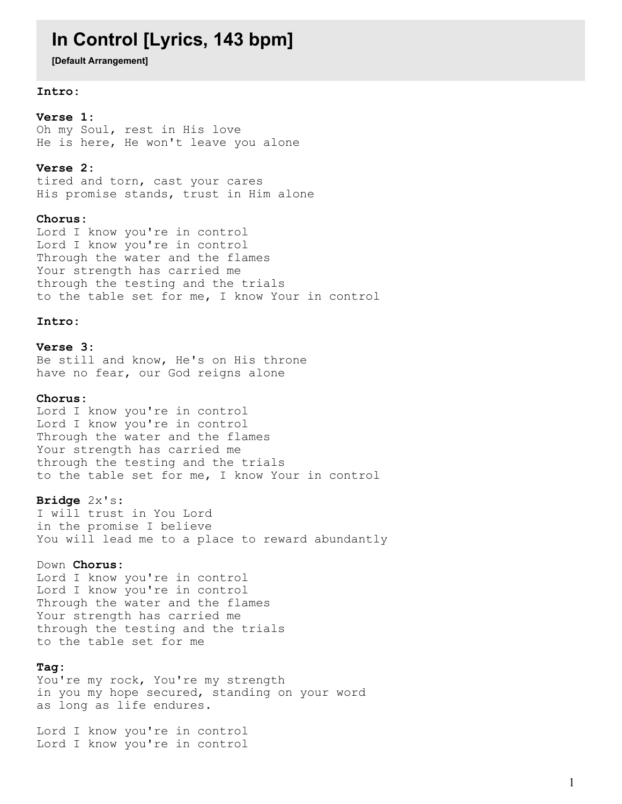# **In Control [Lyrics, 143 bpm]**

**[Default Arrangement]**

### **Intro:**

**Verse 1:**

Oh my Soul, rest in His love He is here, He won't leave you alone

#### **Verse 2:**

tired and torn, cast your cares His promise stands, trust in Him alone

#### **Chorus:**

Lord I know you're in control Lord I know you're in control Through the water and the flames Your strength has carried me through the testing and the trials to the table set for me, I know Your in control

#### **Intro:**

**Verse 3:** Be still and know, He's on His throne have no fear, our God reigns alone

## **Chorus:**

Lord I know you're in control Lord I know you're in control Through the water and the flames Your strength has carried me through the testing and the trials to the table set for me, I know Your in control

#### **Bridge** 2x's:

I will trust in You Lord in the promise I believe You will lead me to a place to reward abundantly

# Down **Chorus:**

Lord I know you're in control Lord I know you're in control Through the water and the flames Your strength has carried me through the testing and the trials to the table set for me

### **Tag:**

You're my rock, You're my strength in you my hope secured, standing on your word as long as life endures.

Lord I know you're in control Lord I know you're in control